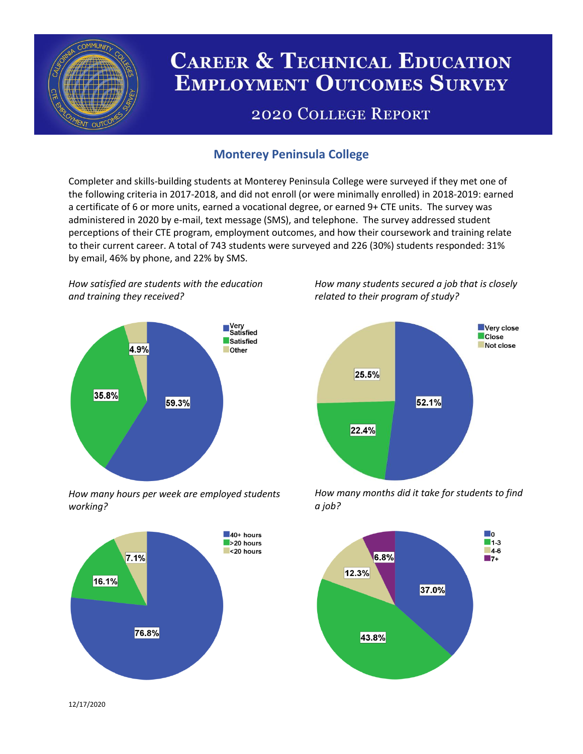

# **CAREER & TECHNICAL EDUCATION EMPLOYMENT OUTCOMES SURVEY**

## **2020 COLLEGE REPORT**

## **Monterey Peninsula College**

Completer and skills-building students at Monterey Peninsula College were surveyed if they met one of the following criteria in 2017-2018, and did not enroll (or were minimally enrolled) in 2018-2019: earned a certificate of 6 or more units, earned a vocational degree, or earned 9+ CTE units. The survey was administered in 2020 by e-mail, text message (SMS), and telephone. The survey addressed student perceptions of their CTE program, employment outcomes, and how their coursework and training relate to their current career. A total of 743 students were surveyed and 226 (30%) students responded: 31% by email, 46% by phone, and 22% by SMS.

*How satisfied are students with the education and training they received?*



*How many hours per week are employed students working?*



*How many students secured a job that is closely related to their program of study?*



*How many months did it take for students to find a job?*



12/17/2020